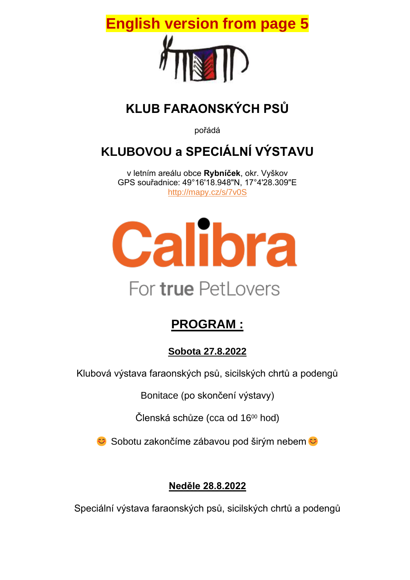

# **KLUB FARAONSKÝCH PSŮ**

pořádá

# **KLUBOVOU a SPECIÁLNÍ VÝSTAVU**

v letním areálu obce **Rybníček**, okr. Vyškov GPS souřadnice: 49°16'18.948"N, 17°4'28.309"E <http://mapy.cz/s/7v0S>



# **PROGRAM :**

### **Sobota 27.8.2022**

Klubová výstava faraonských psů, sicilských chrtů a podengů

Bonitace (po skončení výstavy)

Členská schůze (cca od 16<sup>00</sup> hod)

**€** Sobotu zakončíme zábavou pod širým nebem **€** 

## **Neděle 28.8.2022**

Speciální výstava faraonských psů, sicilských chrtů a podengů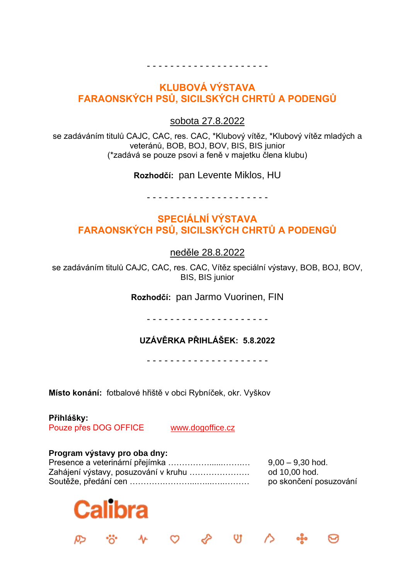#### **KLUBOVÁ VÝSTAVA FARAONSKÝCH PSŮ, SICILSKÝCH CHRTŮ A PODENGŮ**

- - - - - - - - - - - - - - - - - - - - -

sobota 27.8.2022

se zadáváním titulů CAJC, CAC, res. CAC, \*Klubový vítěz, \*Klubový vítěz mladých a veteránů, BOB, BOJ, BOV, BIS, BIS junior (\*zadává se pouze psovi a feně v majetku člena klubu)

**Rozhodčí:** pan Levente Miklos, HU

- - - - - - - - - - - - - - - - - - - - -

#### **SPECIÁLNÍ VÝSTAVA FARAONSKÝCH PSŮ, SICILSKÝCH CHRTŮ A PODENGŮ**

neděle 28.8.2022

se zadáváním titulů CAJC, CAC, res. CAC, Vítěz speciální výstavy, BOB, BOJ, BOV, BIS, BIS junior

**Rozhodčí:** pan Jarmo Vuorinen, FIN

- - - - - - - - - - - - - - - - - - - - -

#### **UZÁVĚRKA PŘIHLÁŠEK: 5.8.2022**

- - - - - - - - - - - - - - - - - - - - -

**Místo konání:** fotbalové hřiště v obci Rybníček, okr. Vyškov

#### **Přihlášky:**

Pouze přes DOG OFFICE [www.dogoffice.cz](http://www.dogoffice.cz/)

#### **Program výstavy pro oba dny:**

| Presence a veterinární přejímka              | $9,00 - 9,30$ hod.     |
|----------------------------------------------|------------------------|
| Zahájení výstavy, posuzování v kruhu ………………… | od 10,00 hod.          |
|                                              | po skončení posuzování |

 $\circ$   $\circ$   $\circ$   $\circ$ 

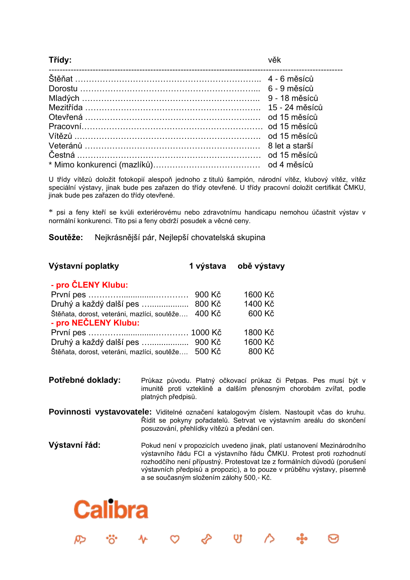#### **Třídy:** věk

| Mezitřída …………………………………………………………… 15 - 24 měsíců |  |
|--------------------------------------------------|--|
|                                                  |  |
|                                                  |  |
|                                                  |  |
|                                                  |  |
|                                                  |  |
|                                                  |  |

U třídy vítězů doložit fotokopií alespoň jednoho z titulů šampión, národní vítěz, klubový vítěz, vítěz speciální výstavy, jinak bude pes zařazen do třídy otevřené. U třídy pracovní doložit certifikát ČMKU, jinak bude pes zařazen do třídy otevřené.

\* psi a feny kteří se kvůli exteriérovému nebo zdravotnímu handicapu nemohou účastnit výstav v normální konkurenci. Tito psi a feny obdrží posudek a věcné ceny.

**Soutěže:** Nejkrásnější pár, Nejlepší chovatelská skupina

| Výstavní poplatky                                                   |        | 1 výstava obě výstavy |
|---------------------------------------------------------------------|--------|-----------------------|
| - pro ČLENY Klubu:                                                  |        |                       |
|                                                                     | 900 Kč | 1600 Kč               |
| Druhý a každý další pes  800 Kč                                     |        | 1400 Kč               |
| Štěňata, dorost, veteráni, mazlíci, soutěže<br>- pro NEČLENY Klubu: | 400 Kč | 600 Kč                |
|                                                                     |        | 1800 Kč               |
|                                                                     |        | 1600 Kč               |
| Štěňata, dorost, veteráni, mazlíci, soutěže                         | 500 Kč | 800 Kč                |

- **Potřebné doklady:** Průkaz původu. Platný očkovací průkaz či Petpas. Pes musí být v imunitě proti vzteklině a dalším přenosným chorobám zvířat, podle platných předpisů.
- **Povinnosti vystavovatele:** Viditelné označení katalogovým číslem. Nastoupit včas do kruhu. Řídit se pokyny pořadatelů. Setrvat ve výstavním areálu do skončení posuzování, přehlídky vítězů a předání cen.
- **Výstavní řád:** Pokud není v propozicích uvedeno jinak, platí ustanovení Mezinárodního výstavního řádu FCI a výstavního řádu ČMKU. Protest proti rozhodnutí rozhodčího není přípustný. Protestovat lze z formálních důvodů (porušení výstavních předpisů a propozic), a to pouze v průběhu výstavy, písemně a se současným složením zálohy 500,- Kč.

℅

 $\infty$ 

**v** 

 $\triangle$ 

# **Calibra**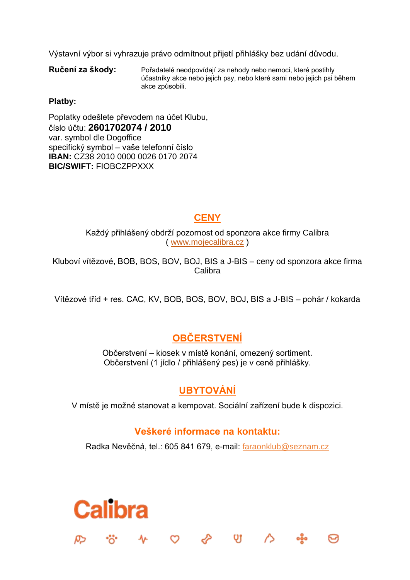Výstavní výbor si vyhrazuje právo odmítnout přijetí přihlášky bez udání důvodu.

**Ručení za škody:** Pořadatelé neodpovídají za nehody nebo nemoci, které postihly účastníky akce nebo jejich psy, nebo které sami nebo jejich psi během akce způsobili.

#### **Platby:**

Poplatky odešlete převodem na účet Klubu, číslo účtu: **2601702074 / 2010** var. symbol dle Dogoffice specifický symbol – vaše telefonní číslo **IBAN:** CZ38 2010 0000 0026 0170 2074 **BIC/SWIFT:** FIOBCZPPXXX

**Calibra** 

#### **CENY**

Každý přihlášený obdrží pozornost od sponzora akce firmy Calibra ( [www.mojecalibra.cz](http://www.mojecalibra.cz/) )

Kluboví vítězové, BOB, BOS, BOV, BOJ, BIS a J-BIS – ceny od sponzora akce firma Calibra

Vítězové tříd + res. CAC, KV, BOB, BOS, BOV, BOJ, BIS a J-BIS – pohár / kokarda

#### **OBČERSTVENÍ**

Občerstvení – kiosek v místě konání, omezený sortiment. Občerstvení (1 jídlo / přihlášený pes) je v ceně přihlášky.

#### **UBYTOVÁNÍ**

V místě je možné stanovat a kempovat. Sociální zařízení bude k dispozici.

#### **Veškeré informace na kontaktu:**

Radka Nevěčná, tel.: 605 841 679, e-mail: [faraonklub@seznam.cz](mailto:faraonklub@seznam.cz)

 $\circ$   $\circ$   $\circ$   $\circ$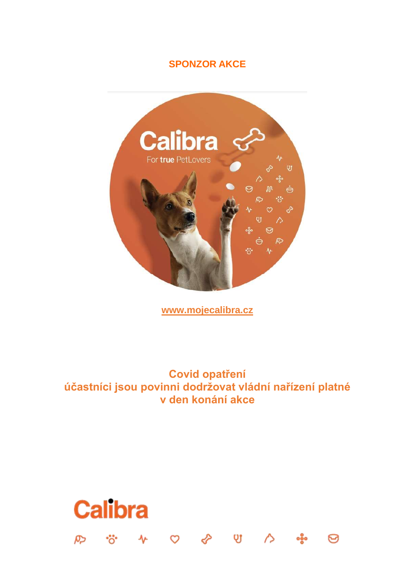#### **SPONZOR AKCE**



**[www.mojecalibra.cz](http://www.mojecalibra.cz/)**

**Covid opatření účastníci jsou povinni dodržovat vládní nařízení platné v den konání akce**

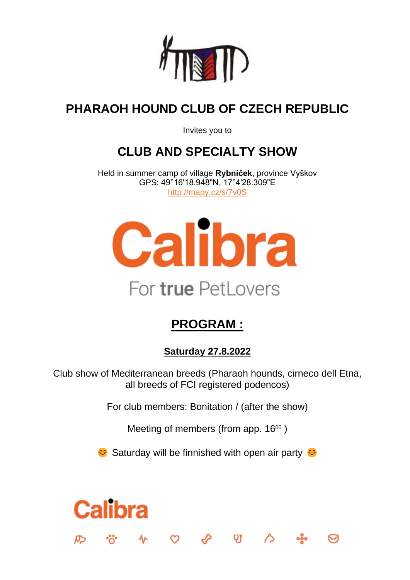

# **PHARAOH HOUND CLUB OF CZECH REPUBLIC**

Invites you to

# **CLUB AND SPECIALTY SHOW**

Held in summer camp of village **Rybníček**, province Vyškov GPS: 49°16'18.948"N, 17°4'28.309"E <http://mapy.cz/s/7v0S>



# **PROGRAM :**

**Saturday 27.8.2022**

Club show of Mediterranean breeds (Pharaoh hounds, cirneco dell Etna, all breeds of FCI registered podencos)

For club members: Bonitation / (after the show)

Meeting of members (from app. 16<sup>00</sup>)

 $\bullet$  Saturday will be finnished with open air party  $\bullet$ 

 $\sim$  0  $\sim$  0  $\sim$ 

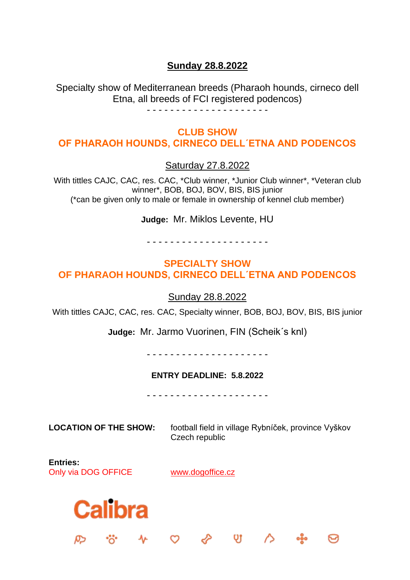#### **Sunday 28.8.2022**

Specialty show of Mediterranean breeds (Pharaoh hounds, cirneco dell Etna, all breeds of FCI registered podencos)

#### **CLUB SHOW OF PHARAOH HOUNDS, CIRNECO DELL´ETNA AND PODENCOS**

Saturday 27.8.2022

With tittles CAJC, CAC, res. CAC, \*Club winner, \*Junior Club winner\*, \*Veteran club winner\*, BOB, BOJ, BOV, BIS, BIS junior (\*can be given only to male or female in ownership of kennel club member)

**Judge:** Mr. Miklos Levente, HU

#### - - - - - - - - - - - - - - - - - - - - -

#### **SPECIALTY SHOW OF PHARAOH HOUNDS, CIRNECO DELL´ETNA AND PODENCOS**

Sunday 28.8.2022

With tittles CAJC, CAC, res. CAC, Specialty winner, BOB, BOJ, BOV, BIS, BIS junior

**Judge:** Mr. Jarmo Vuorinen, FIN (Scheik´s knl)

- - - - - - - - - - - - - - - - - - - - -

#### **ENTRY DEADLINE: 5.8.2022**

- - - - - - - - - - - - - - - - - - - - -

**LOCATION OF THE SHOW:** football field in village Rybníček, province Vyškov Czech republic

 $\vee$  0

**Entries:** Only via DOG OFFICE [www.dogoffice.cz](http://www.dogoffice.cz/)

 $\mathcal{L}$ 

 $\infty$ 

**Calibra**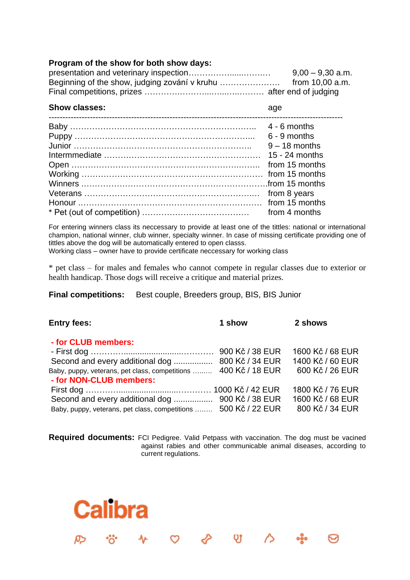#### **Program of the show for both show days:**

| $9,00 - 9,30$ a.m. |
|--------------------|
|                    |
|                    |

| <b>Show classes:</b> | age             |
|----------------------|-----------------|
|                      | $4 - 6$ months  |
|                      | $6 - 9$ months  |
|                      | $9 - 18$ months |
|                      | 15 - 24 months  |
|                      | from 15 months  |
|                      |                 |
|                      |                 |
|                      | from 8 years    |
|                      |                 |
|                      | from 4 months   |

For entering winners class its neccessary to provide at least one of the tittles: national or international champion, national winner, club winner, specialty winner. In case of missing certificate providing one of tittles above the dog will be automatically entered to open classs.

Working class – owner have to provide certificate neccessary for working class

\* pet class – for males and females who cannot compete in regular classes due to exterior or health handicap. Those dogs will receive a critique and material prizes.

**Final competitions:** Best couple, Breeders group, BIS, BIS Junior

**Calibra** 

 $\mathbf{v}$ 

| <b>Entry fees:</b>                                              | 1 show          | 2 shows          |
|-----------------------------------------------------------------|-----------------|------------------|
| - for CLUB members:                                             |                 |                  |
|                                                                 |                 | 1600 Kč / 68 EUR |
|                                                                 |                 | 1400 Kč / 60 EUR |
| Baby, puppy, veterans, pet class, competitions  400 Kč / 18 EUR |                 | 600 Kč / 26 EUR  |
| - for NON-CLUB members:                                         |                 |                  |
|                                                                 |                 | 1800 Kč / 76 EUR |
|                                                                 |                 | 1600 Kč / 68 EUR |
| Baby, puppy, veterans, pet class, competitions                  | 500 Kč / 22 EUR | 800 Kč / 34 EUR  |

**Required documents:** FCI Pedigree. Valid Petpass with vaccination. The dog must be vacined against rabies and other communicable animal diseases, according to current regulations.

 $\infty$   $\infty$ 

 $\sim$  0

ၜၜၟႝၜ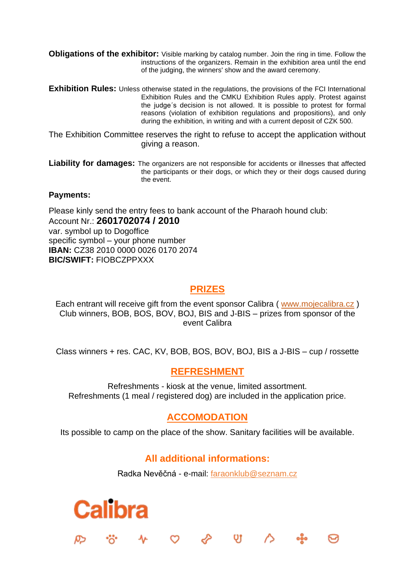**Obligations of the exhibitor:** Visible marking by catalog number. Join the ring in time. Follow the instructions of the organizers. Remain in the exhibition area until the end of the judging, the winners' show and the award ceremony.

- **Exhibition Rules:** Unless otherwise stated in the regulations, the provisions of the FCI International Exhibition Rules and the CMKU Exhibition Rules apply. Protest against the judge´s decision is not allowed. It is possible to protest for formal reasons (violation of exhibition regulations and propositions), and only during the exhibition, in writing and with a current deposit of CZK 500.
- The Exhibition Committee reserves the right to refuse to accept the application without giving a reason.
- **Liability for damages:** The organizers are not responsible for accidents or illnesses that affected the participants or their dogs, or which they or their dogs caused during the event.

#### **Payments:**

Please kinly send the entry fees to bank account of the Pharaoh hound club: Account Nr.: **2601702074 / 2010** var. symbol up to Dogoffice specific symbol – your phone number **IBAN:** CZ38 2010 0000 0026 0170 2074 **BIC/SWIFT:** FIOBCZPPXXX

#### **PRIZES**

Each entrant will receive gift from the event sponsor Calibra ( [www.mojecalibra.cz](http://www.mojecalibra.cz/) ) Club winners, BOB, BOS, BOV, BOJ, BIS and J-BIS – prizes from sponsor of the event Calibra

Class winners + res. CAC, KV, BOB, BOS, BOV, BOJ, BIS a J-BIS – cup / rossette

#### **REFRESHMENT**

Refreshments - kiosk at the venue, limited assortment. Refreshments (1 meal / registered dog) are included in the application price.

#### **ACCOMODATION**

Its possible to camp on the place of the show. Sanitary facilities will be available.

#### **All additional informations:**

Radka Nevěčná - e-mail: [faraonklub@seznam.cz](mailto:faraonklub@seznam.cz)

 $\infty$   $\infty$ 

QJ 1